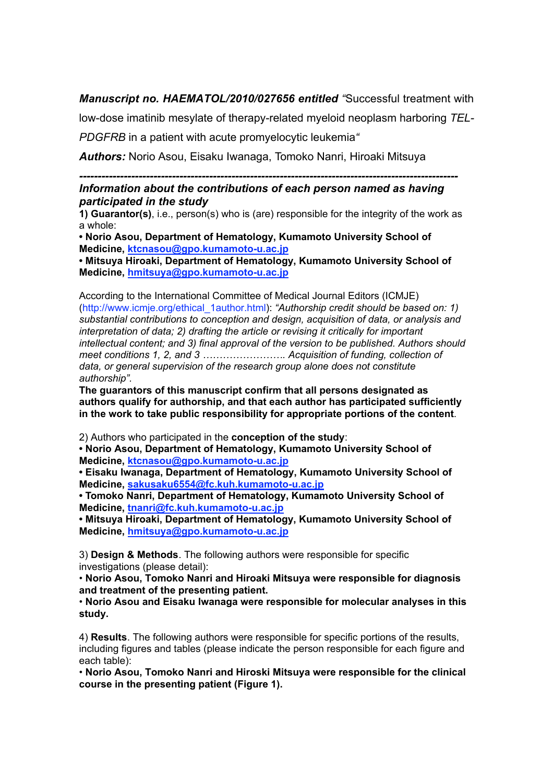## *Manuscript no. HAEMATOL/2010/027656 entitled "*Successful treatment with

low-dose imatinib mesylate of therapy-related myeloid neoplasm harboring *TEL-PDGFRB* in a patient with acute promyelocytic leukemia*"*

*Authors:* Norio Asou, Eisaku Iwanaga, Tomoko Nanri, Hiroaki Mitsuya

## *------------------------------------------------------------------------------------------------------*

## *Information about the contributions of each person named as having participated in the study*

**1) Guarantor(s)**, i.e., person(s) who is (are) responsible for the integrity of the work as a whole:

**• Norio Asou, Department of Hematology, Kumamoto University School of Medicine, ktcnasou@gpo.kumamoto-u.ac.jp**

**• Mitsuya Hiroaki, Department of Hematology, Kumamoto University School of Medicine, hmitsuya@gpo.kumamoto-u.ac.jp**

According to the International Committee of Medical Journal Editors (ICMJE) (http://www.icmje.org/ethical\_1author.html): *"Authorship credit should be based on: 1) substantial contributions to conception and design, acquisition of data, or analysis and interpretation of data; 2) drafting the article or revising it critically for important intellectual content; and 3) final approval of the version to be published. Authors should meet conditions 1, 2, and 3 ……………………. Acquisition of funding, collection of data, or general supervision of the research group alone does not constitute authorship".*

**The guarantors of this manuscript confirm that all persons designated as authors qualify for authorship, and that each author has participated sufficiently in the work to take public responsibility for appropriate portions of the content**.

2) Authors who participated in the **conception of the study**:

**• Norio Asou, Department of Hematology, Kumamoto University School of Medicine, ktcnasou@gpo.kumamoto-u.ac.jp**

**• Eisaku Iwanaga, Department of Hematology, Kumamoto University School of Medicine, sakusaku6554@fc.kuh.kumamoto-u.ac.jp**

**• Tomoko Nanri, Department of Hematology, Kumamoto University School of Medicine, tnanri@fc.kuh.kumamoto-u.ac.jp**

**• Mitsuya Hiroaki, Department of Hematology, Kumamoto University School of Medicine, hmitsuya@gpo.kumamoto-u.ac.jp**

3) **Design & Methods**. The following authors were responsible for specific investigations (please detail):

• **Norio Asou, Tomoko Nanri and Hiroaki Mitsuya were responsible for diagnosis and treatment of the presenting patient.**

• **Norio Asou and Eisaku Iwanaga were responsible for molecular analyses in this study.**

4) **Results**. The following authors were responsible for specific portions of the results, including figures and tables (please indicate the person responsible for each figure and each table):

• **Norio Asou, Tomoko Nanri and Hiroski Mitsuya were responsible for the clinical course in the presenting patient (Figure 1).**